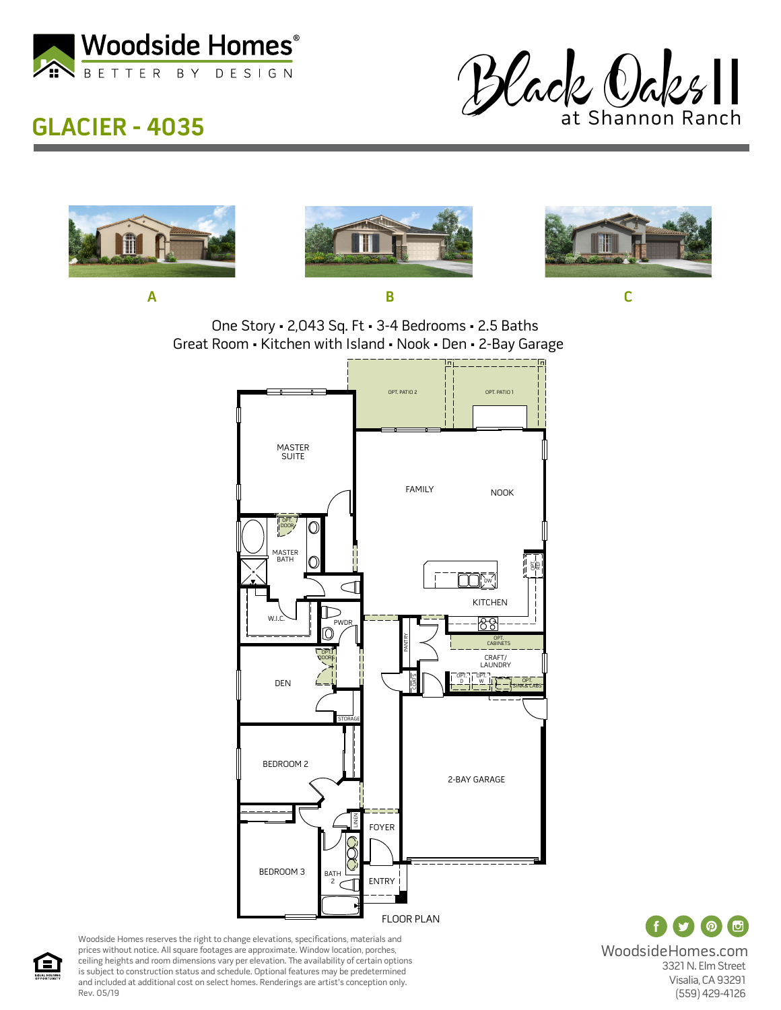

## **GLACIER - 4035**





 $\odot$   $\odot$ WoodsideHomes.com 3321 N. Elm Street Visalia, CA 93291 (559) 429-4126

Woodside Homes reserves the right to change elevations, specifications, materials and prices without notice. All square footages are approximate. Window location, porches, ceiling heights and room dimensions vary per elevation. The availability of certain options is subject to construction status and schedule. Optional features may be predetermined and included at additional cost on select homes. Renderings are artist's conception only. Rev. 05/19